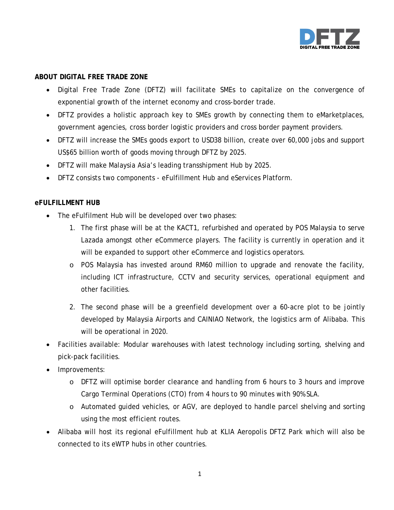

# **ABOUT DIGITAL FREE TRADE ZONE**

- Digital Free Trade Zone (DFTZ) will facilitate SMEs to capitalize on the convergence of exponential growth of the internet economy and cross-border trade.
- DFTZ provides a holistic approach key to SMEs growth by connecting them to eMarketplaces, government agencies, cross border logistic providers and cross border payment providers.
- DFTZ will increase the SMEs goods export to USD38 billion, create over 60,000 jobs and support US\$65 billion worth of goods moving through DFTZ by 2025.
- DFTZ will make Malaysia Asia's leading transshipment Hub by 2025.
- DFTZ consists two components eFulfillment Hub and eServices Platform.

#### **eFULFILLMENT HUB**

- The eFulfilment Hub will be developed over two phases:
	- 1. The first phase will be at the KACT1, refurbished and operated by POS Malaysia to serve Lazada amongst other eCommerce players. The facility is currently in operation and it will be expanded to support other eCommerce and logistics operators.
	- o POS Malaysia has invested around RM60 million to upgrade and renovate the facility, including ICT infrastructure, CCTV and security services, operational equipment and other facilities.
	- 2. The second phase will be a greenfield development over a 60-acre plot to be jointly developed by Malaysia Airports and CAINIAO Network, the logistics arm of Alibaba. This will be operational in 2020.
- Facilities available: Modular warehouses with latest technology including sorting, shelving and pick-pack facilities.
- Improvements:
	- o DFTZ will optimise border clearance and handling from 6 hours to 3 hours and improve Cargo Terminal Operations (CTO) from 4 hours to 90 minutes with 90% SLA.
	- o Automated guided vehicles, or AGV, are deployed to handle parcel shelving and sorting using the most efficient routes.
- Alibaba will host its regional eFulfillment hub at KLIA Aeropolis DFTZ Park which will also be connected to its eWTP hubs in other countries.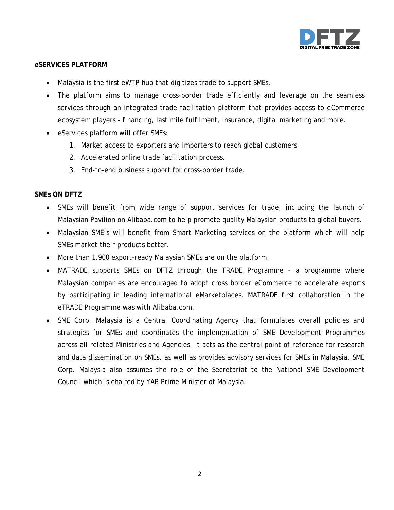

### **eSERVICES PLATFORM**

- Malaysia is the first eWTP hub that digitizes trade to support SMEs.
- The platform aims to manage cross-border trade efficiently and leverage on the seamless services through an integrated trade facilitation platform that provides access to eCommerce ecosystem players - financing, last mile fulfilment, insurance, digital marketing and more.
- eServices platform will offer SMEs:
	- 1. Market access to exporters and importers to reach global customers.
	- 2. Accelerated online trade facilitation process.
	- 3. End-to-end business support for cross-border trade.

# **SMEs ON DFTZ**

- SMEs will benefit from wide range of support services for trade, including the launch of Malaysian Pavilion on Alibaba.com to help promote quality Malaysian products to global buyers.
- Malaysian SME's will benefit from Smart Marketing services on the platform which will help SMEs market their products better.
- More than 1,900 export-ready Malaysian SMEs are on the platform.
- MATRADE supports SMEs on DFTZ through the TRADE Programme a programme where Malaysian companies are encouraged to adopt cross border eCommerce to accelerate exports by participating in leading international eMarketplaces. MATRADE first collaboration in the eTRADE Programme was with Alibaba.com.
- SME Corp. Malaysia is a Central Coordinating Agency that formulates overall policies and strategies for SMEs and coordinates the implementation of SME Development Programmes across all related Ministries and Agencies. It acts as the central point of reference for research and data dissemination on SMEs, as well as provides advisory services for SMEs in Malaysia. SME Corp. Malaysia also assumes the role of the Secretariat to the National SME Development Council which is chaired by YAB Prime Minister of Malaysia.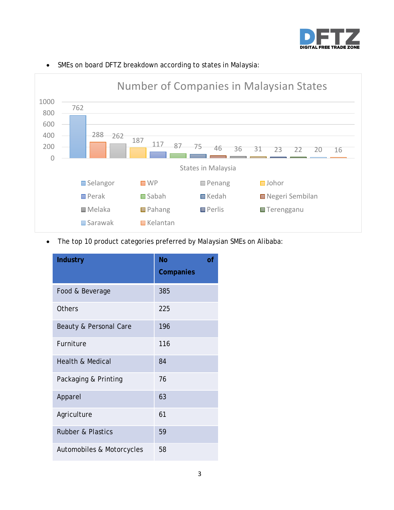



# • SMEs on board DFTZ breakdown according to states in Malaysia:

• The top 10 product categories preferred by Malaysian SMEs on Alibaba:

| <b>Industry</b>              | <b>No</b><br>$\overline{of}$<br>Companies |
|------------------------------|-------------------------------------------|
| Food & Beverage              | 385                                       |
| Others                       | 225                                       |
| Beauty & Personal Care       | 196                                       |
| Furniture                    | 116                                       |
| <b>Health &amp; Medical</b>  | 84                                        |
| Packaging & Printing         | 76                                        |
| Apparel                      | 63                                        |
| Agriculture                  | 61                                        |
| <b>Rubber &amp; Plastics</b> | 59                                        |
| Automobiles & Motorcycles    | 58                                        |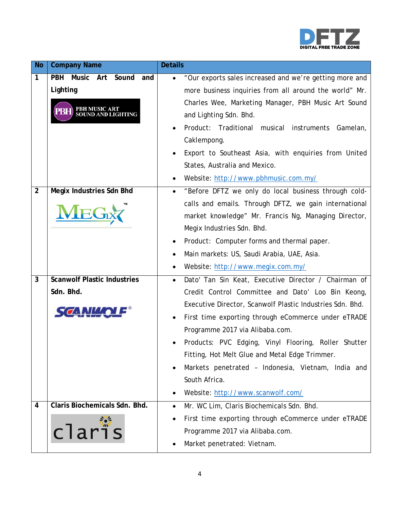

| <b>No</b>      | <b>Company Name</b>                                                      | <b>Details</b>                                                                                                                                                                                                                                                                                                                                                                                                                                                                                      |
|----------------|--------------------------------------------------------------------------|-----------------------------------------------------------------------------------------------------------------------------------------------------------------------------------------------------------------------------------------------------------------------------------------------------------------------------------------------------------------------------------------------------------------------------------------------------------------------------------------------------|
| 1              | <b>PBH</b><br>Music Art Sound<br>and<br>Lighting<br><b>PBH MUSIC ART</b> | "Our exports sales increased and we're getting more and<br>$\bullet$<br>more business inquiries from all around the world" Mr.<br>Charles Wee, Marketing Manager, PBH Music Art Sound<br>and Lighting Sdn. Bhd.<br>Product: Traditional musical instruments Gamelan,<br>Caklempong.<br>Export to Southeast Asia, with enquiries from United<br>States, Australia and Mexico.<br>Website: http://www.pbhmusic.com.my/                                                                                |
| $\overline{2}$ | <b>Megix Industries Sdn Bhd</b><br><b>MEG</b>                            | "Before DFTZ we only do local business through cold-<br>$\bullet$<br>calls and emails. Through DFTZ, we gain international<br>market knowledge" Mr. Francis Ng, Managing Director,<br>Megix Industries Sdn. Bhd.<br>Product: Computer forms and thermal paper.<br>Main markets: US, Saudi Arabia, UAE, Asia.<br>$\bullet$<br>Website: http://www.megix.com.my/                                                                                                                                      |
| $\overline{3}$ | <b>Scanwolf Plastic Industries</b><br>Sdn. Bhd.                          | Dato' Tan Sin Keat, Executive Director / Chairman of<br>Credit Control Committee and Dato' Loo Bin Keong,<br>Executive Director, Scanwolf Plastic Industries Sdn. Bhd.<br>First time exporting through eCommerce under eTRADE<br>Programme 2017 via Alibaba.com.<br>Products: PVC Edging, Vinyl Flooring, Roller Shutter<br>Fitting, Hot Melt Glue and Metal Edge Trimmer.<br>Markets penetrated - Indonesia, Vietnam, India and<br>$\bullet$<br>South Africa.<br>Website: http://www.scanwolf.com/ |
| $\overline{4}$ | Claris Biochemicals Sdn. Bhd.<br>claris                                  | Mr. WC Lim, Claris Biochemicals Sdn. Bhd.<br>$\bullet$<br>First time exporting through eCommerce under eTRADE<br>Programme 2017 via Alibaba.com.<br>Market penetrated: Vietnam.                                                                                                                                                                                                                                                                                                                     |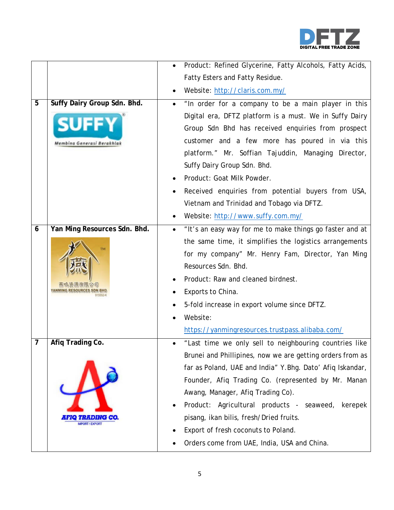

|   |                                                           | Product: Refined Glycerine, Fatty Alcohols, Fatty Acids,<br>$\bullet$ |
|---|-----------------------------------------------------------|-----------------------------------------------------------------------|
|   |                                                           | Fatty Esters and Fatty Residue.                                       |
|   |                                                           | Website: http://claris.com.my/                                        |
| 5 | Suffy Dairy Group Sdn. Bhd.                               | "In order for a company to be a main player in this<br>$\bullet$      |
|   | <b>SUFFY</b><br>Membina Generasi Berakhlak                | Digital era, DFTZ platform is a must. We in Suffy Dairy               |
|   |                                                           | Group Sdn Bhd has received enquiries from prospect                    |
|   |                                                           | customer and a few more has poured in via this                        |
|   |                                                           | platform." Mr. Soffian Tajuddin, Managing Director,                   |
|   |                                                           | Suffy Dairy Group Sdn. Bhd.                                           |
|   |                                                           | Product: Goat Milk Powder.                                            |
|   |                                                           | Received enquiries from potential buyers from USA,                    |
|   |                                                           | Vietnam and Trinidad and Tobago via DFTZ.                             |
|   |                                                           | Website: http://www.suffy.com.my/                                     |
| 6 | Yan Ming Resources Sdn. Bhd.                              | "It's an easy way for me to make things go faster and at<br>$\bullet$ |
|   | <b>TM</b>                                                 | the same time, it simplifies the logistics arrangements               |
|   |                                                           | for my company" Mr. Henry Fam, Director, Yan Ming                     |
|   |                                                           | Resources Sdn. Bhd.                                                   |
|   |                                                           | Product: Raw and cleaned birdnest.                                    |
|   |                                                           | Exports to China.                                                     |
|   |                                                           | 5-fold increase in export volume since DFTZ.                          |
|   |                                                           | Website:                                                              |
|   |                                                           | https://yanmingresources.trustpass.alibaba.com/                       |
| 7 | Afiq Trading Co.<br>HYO THE DIVE<br><b>MPORT / EXPORT</b> | "Last time we only sell to neighbouring countries like                |
|   |                                                           | Brunei and Phillipines, now we are getting orders from as             |
|   |                                                           | far as Poland, UAE and India" Y.Bhg. Dato' Afiq Iskandar,             |
|   |                                                           | Founder, Afiq Trading Co. (represented by Mr. Manan                   |
|   |                                                           | Awang, Manager, Afiq Trading Co).                                     |
|   |                                                           | Product: Agricultural products - seaweed, kerepek                     |
|   |                                                           | pisang, ikan bilis, fresh/Dried fruits.                               |
|   |                                                           | Export of fresh coconuts to Poland.                                   |
|   |                                                           | Orders come from UAE, India, USA and China.                           |